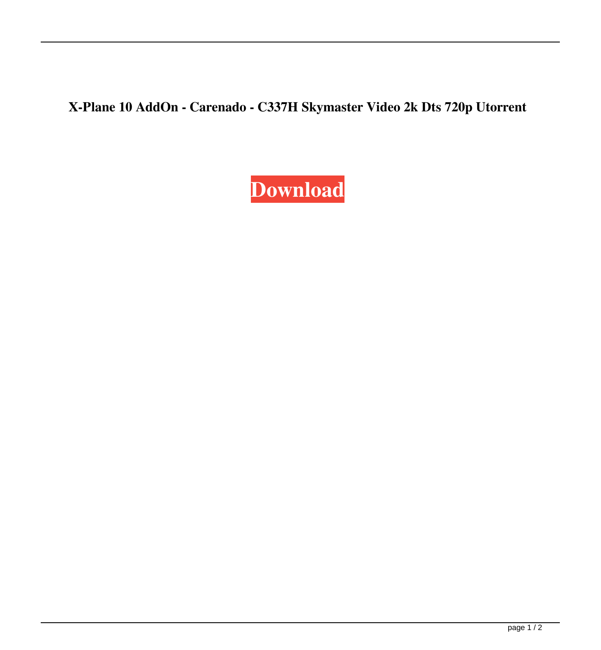**X-Plane 10 AddOn - Carenado - C337H Skymaster Video 2k Dts 720p Utorrent**

## **[Download](http://evacdir.com/ZG93bmxvYWR8bEcwTW5NemVIeDhNVFkxTWpjME1EZzJObng4TWpVM05IeDhLRTBwSUhKbFlXUXRZbXh2WnlCYlJtRnpkQ0JIUlU1ZA=craves=algorithms=pooley=gaul.WC1QbGFuZSAxMCBBZGRPbiAtIENhcmVuYWRvIC0gQzMzN0ggU2t5bWFzdGVyIFRvcnJlbnQgRG93bmxvYWQWC1)**